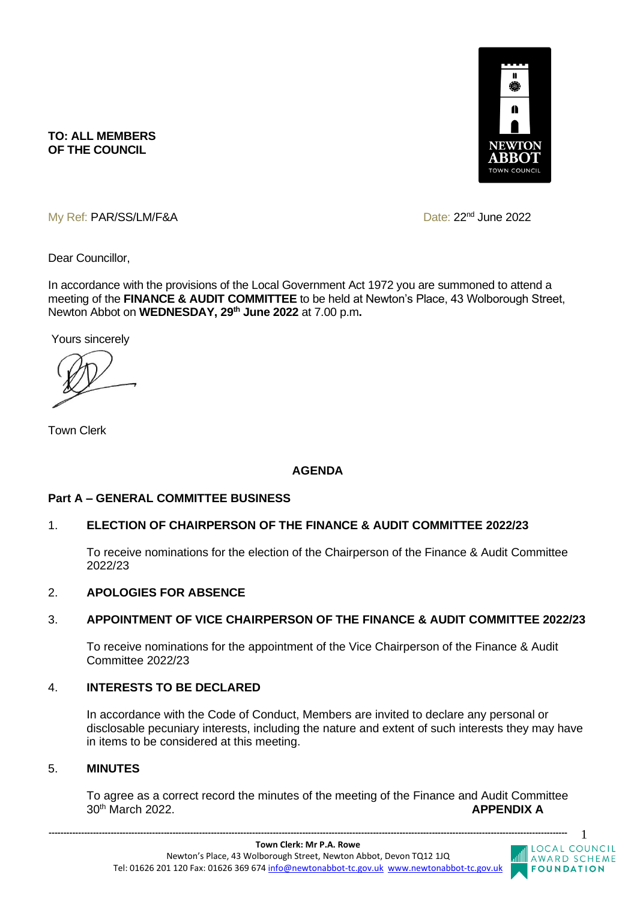

**TO: ALL MEMBERS OF THE COUNCIL**

My Ref: PAR/SS/LM/F&A Date: 22<sup>nd</sup> June 2022

Dear Councillor,

In accordance with the provisions of the Local Government Act 1972 you are summoned to attend a meeting of the **FINANCE & AUDIT COMMITTEE** to be held at Newton's Place, 43 Wolborough Street, Newton Abbot on **WEDNESDAY, 29th June 2022** at 7.00 p.m**.** 

Yours sincerely

Town Clerk

# **AGENDA**

#### **Part A – GENERAL COMMITTEE BUSINESS**

#### 1. **ELECTION OF CHAIRPERSON OF THE FINANCE & AUDIT COMMITTEE 2022/23**

To receive nominations for the election of the Chairperson of the Finance & Audit Committee 2022/23

#### 2. **APOLOGIES FOR ABSENCE**

#### 3. **APPOINTMENT OF VICE CHAIRPERSON OF THE FINANCE & AUDIT COMMITTEE 2022/23**

To receive nominations for the appointment of the Vice Chairperson of the Finance & Audit Committee 2022/23

# 4. **INTERESTS TO BE DECLARED**

In accordance with the Code of Conduct, Members are invited to declare any personal or disclosable pecuniary interests, including the nature and extent of such interests they may have in items to be considered at this meeting.

#### 5. **MINUTES**

To agree as a correct record the minutes of the meeting of the Finance and Audit Committee 30th March 2022. **APPENDIX A**

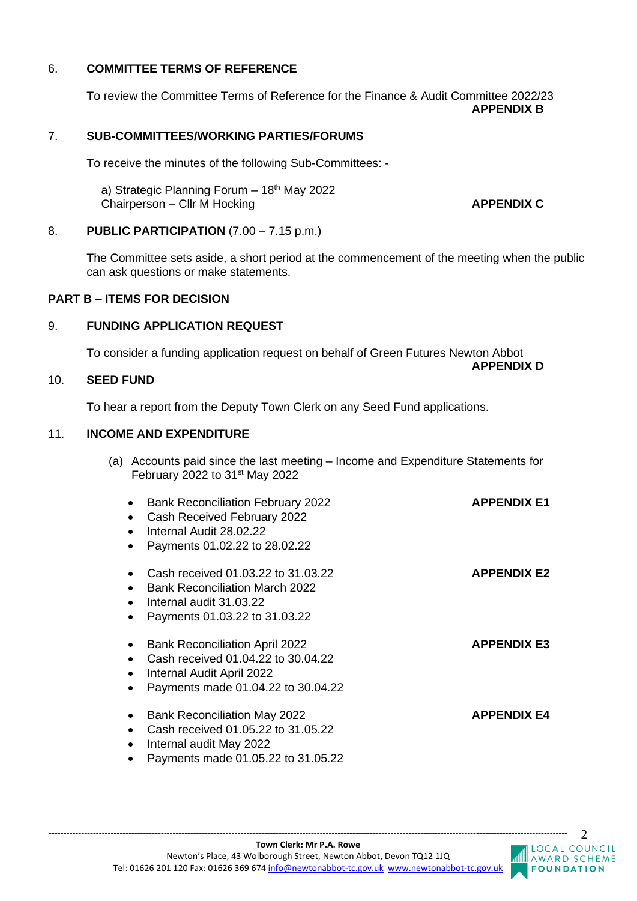## 6. **COMMITTEE TERMS OF REFERENCE**

To review the Committee Terms of Reference for the Finance & Audit Committee 2022/23 **APPENDIX B**

## 7. **SUB-COMMITTEES/WORKING PARTIES/FORUMS**

To receive the minutes of the following Sub-Committees: -

a) Strategic Planning Forum  $-18<sup>th</sup>$  May 2022 Chairperson – Cllr M Hocking **APPENDIX C** 

#### 8. **PUBLIC PARTICIPATION** (7.00 – 7.15 p.m.)

The Committee sets aside, a short period at the commencement of the meeting when the public can ask questions or make statements.

## **PART B – ITEMS FOR DECISION**

## 9. **FUNDING APPLICATION REQUEST**

To consider a funding application request on behalf of Green Futures Newton Abbot **APPENDIX D**

#### 10. **SEED FUND**

To hear a report from the Deputy Town Clerk on any Seed Fund applications.

#### 11. **INCOME AND EXPENDITURE**

(a) Accounts paid since the last meeting – Income and Expenditure Statements for February 2022 to 31st May 2022

| <b>Bank Reconciliation February 2022</b><br>Cash Received February 2022<br>Internal Audit 28.02.22<br>Payments 01.02.22 to 28.02.22            | <b>APPENDIX E1</b> |
|------------------------------------------------------------------------------------------------------------------------------------------------|--------------------|
| Cash received 01.03.22 to 31.03.22<br><b>Bank Reconciliation March 2022</b><br>Internal audit 31.03.22<br>Payments 01.03.22 to 31.03.22        | <b>APPENDIX E2</b> |
| <b>Bank Reconciliation April 2022</b><br>Cash received 01.04.22 to 30.04.22<br>Internal Audit April 2022<br>Payments made 01.04.22 to 30.04.22 | <b>APPENDIX E3</b> |
| <b>Bank Reconciliation May 2022</b><br>Cash received 01.05.22 to 31.05.22<br>Internal audit May 2022<br>Payments made 01.05.22 to 31.05.22     | <b>APPENDIX E4</b> |